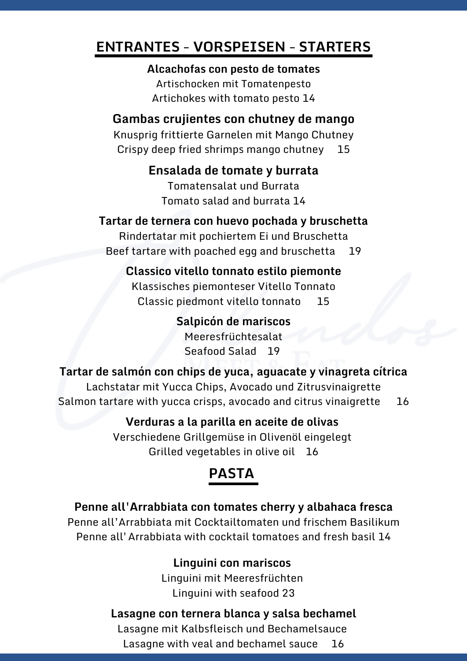## **ENTRANTES - VORSPEISEN - STARTERS**

**Alcachofas con pesto de tomates** Artischocken mit Tomatenpesto Artichokes with tomato pesto 14

### **Gambas crujientes con chutney de mango**

Knusprig frittierte Garnelen mit Mango Chutney Crispy deep fried shrimps mango chutney 15

## **Ensalada de tomate y burrata**

Tomatensalat und Burrata Tomato salad and burrata 14

### **Tartar de ternera con huevo pochada y bruschetta**

Rindertatar mit pochiertem Ei und Bruschetta Beef tartare with poached egg and bruschetta 19

# **Classico vitello tonnato estilo piemonte**

Klassisches piemonteser Vitello Tonnato Classic piedmont vitello tonnato 15

> **Salpicón de mariscos** Meeresfrüchtesalat Seafood Salad 19

#### **Tartar de salmón con chips de yuca, aguacate y vinagreta cítrica**

Lachstatar mit Yucca Chips, Avocado und Zitrusvinaigrette Salmon tartare with yucca crisps, avocado and citrus vinaigrette 16

## **Verduras a la parilla en aceite de olivas**

Verschiedene Grillgemüse in Olivenöl eingelegt Grilled vegetables in olive oil 16

# **PASTA**

#### **Penne all'Arrabbiata con tomates cherry y albahaca fresca**

Penne all'Arrabbiata mit Cocktailtomaten und frischem Basilikum Penne all'Arrabbiata with cocktail tomatoes and fresh basil 14

#### **Linguini con mariscos**

Linguini mit Meeresfrüchten Linguini with seafood 23

#### **Lasagne con ternera blanca y salsa bechamel**

Lasagne mit Kalbsfleisch und Bechamelsauce Lasagne with veal and bechamel sauce 16